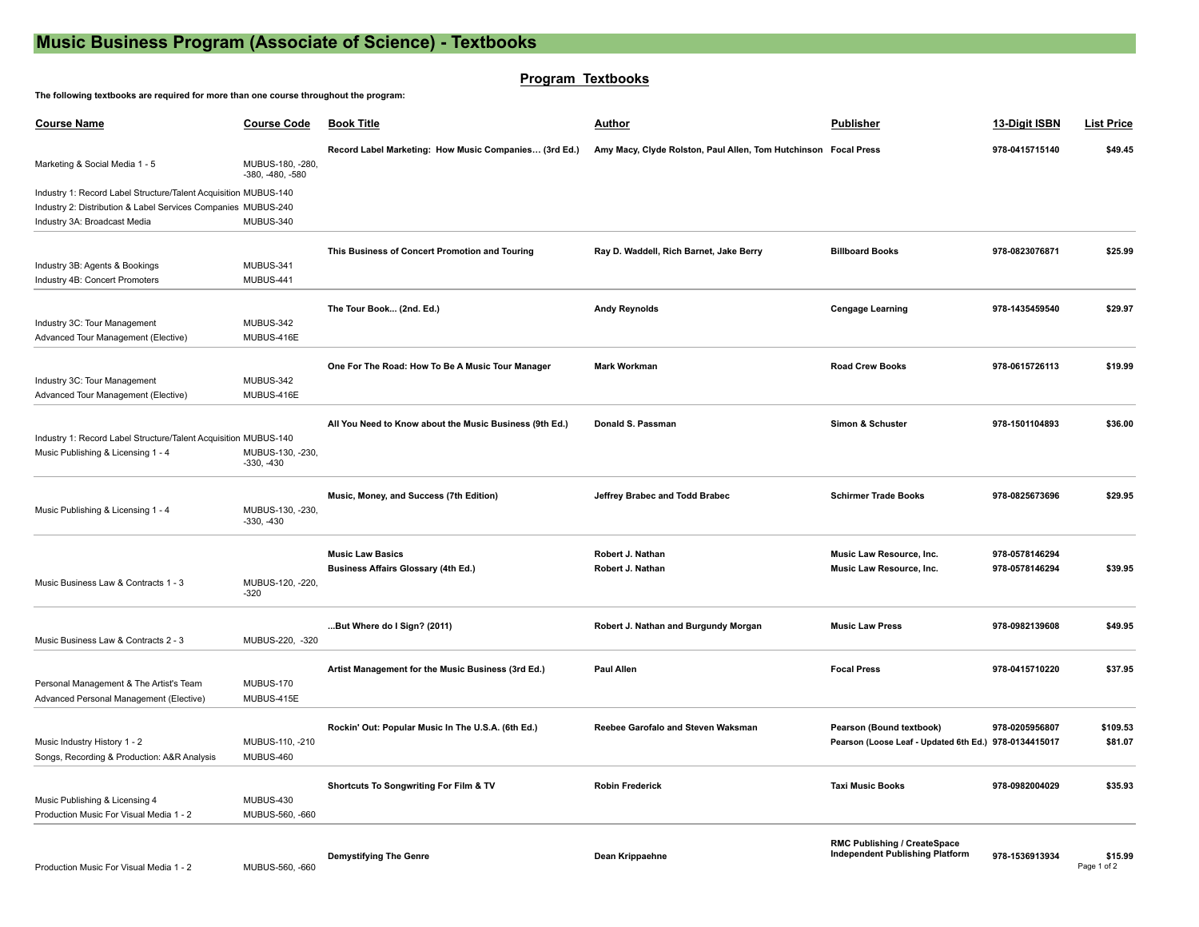# **Music Business Program (Associate of Science) - Textbooks**

# **Program Textbooks**

#### **The following textbooks are required for more than one course throughout the program:**

| <b>Course Name</b>                                                                                                                                               | <b>Course Code</b>                     | <b>Book Title</b>                                                     | <b>Author</b>                                                   | <b>Publisher</b>                                                                  | 13-Digit ISBN                    | <b>List Price</b>      |
|------------------------------------------------------------------------------------------------------------------------------------------------------------------|----------------------------------------|-----------------------------------------------------------------------|-----------------------------------------------------------------|-----------------------------------------------------------------------------------|----------------------------------|------------------------|
| Marketing & Social Media 1 - 5                                                                                                                                   | MUBUS-180, -280,<br>$-380, -480, -580$ | Record Label Marketing: How Music Companies (3rd Ed.)                 | Amy Macy, Clyde Rolston, Paul Allen, Tom Hutchinson Focal Press |                                                                                   | 978-0415715140                   | \$49.45                |
| Industry 1: Record Label Structure/Talent Acquisition MUBUS-140<br>Industry 2: Distribution & Label Services Companies MUBUS-240<br>Industry 3A: Broadcast Media | MUBUS-340                              |                                                                       |                                                                 |                                                                                   |                                  |                        |
| Industry 3B: Agents & Bookings<br>Industry 4B: Concert Promoters                                                                                                 | MUBUS-341<br>MUBUS-441                 | This Business of Concert Promotion and Touring                        | Ray D. Waddell, Rich Barnet, Jake Berry                         | <b>Billboard Books</b>                                                            | 978-0823076871                   | \$25.99                |
| Industry 3C: Tour Management                                                                                                                                     | MUBUS-342                              | The Tour Book (2nd. Ed.)                                              | <b>Andy Reynolds</b>                                            | <b>Cengage Learning</b>                                                           | 978-1435459540                   | \$29.97                |
| Advanced Tour Management (Elective)<br>Industry 3C: Tour Management<br>Advanced Tour Management (Elective)                                                       | MUBUS-416E<br>MUBUS-342<br>MUBUS-416E  | One For The Road: How To Be A Music Tour Manager                      | <b>Mark Workman</b>                                             | <b>Road Crew Books</b>                                                            | 978-0615726113                   | \$19.99                |
| Industry 1: Record Label Structure/Talent Acquisition MUBUS-140<br>Music Publishing & Licensing 1 - 4                                                            | MUBUS-130, -230,<br>$-330, -430$       | All You Need to Know about the Music Business (9th Ed.)               | Donald S. Passman                                               | Simon & Schuster                                                                  | 978-1501104893                   | \$36.00                |
| Music Publishing & Licensing 1 - 4                                                                                                                               | MUBUS-130, -230,<br>$-330, -430$       | Music, Money, and Success (7th Edition)                               | Jeffrey Brabec and Todd Brabec                                  | <b>Schirmer Trade Books</b>                                                       | 978-0825673696                   | \$29.95                |
| Music Business Law & Contracts 1 - 3                                                                                                                             | MUBUS-120, -220,<br>$-320$             | <b>Music Law Basics</b><br><b>Business Affairs Glossary (4th Ed.)</b> | Robert J. Nathan<br>Robert J. Nathan                            | Music Law Resource, Inc.<br>Music Law Resource, Inc.                              | 978-0578146294<br>978-0578146294 | \$39.95                |
| Music Business Law & Contracts 2 - 3                                                                                                                             | MUBUS-220, -320                        | But Where do I Sign? (2011)                                           | Robert J. Nathan and Burgundy Morgan                            | <b>Music Law Press</b>                                                            | 978-0982139608                   | \$49.95                |
| Personal Management & The Artist's Team<br>Advanced Personal Management (Elective)                                                                               | MUBUS-170<br>MUBUS-415E                | Artist Management for the Music Business (3rd Ed.)                    | <b>Paul Allen</b>                                               | <b>Focal Press</b>                                                                | 978-0415710220                   | \$37.95                |
| Music Industry History 1 - 2<br>Songs, Recording & Production: A&R Analysis                                                                                      | MUBUS-110, -210<br>MUBUS-460           | Rockin' Out: Popular Music In The U.S.A. (6th Ed.)                    | Reebee Garofalo and Steven Waksman                              | Pearson (Bound textbook)<br>Pearson (Loose Leaf - Updated 6th Ed.) 978-0134415017 | 978-0205956807                   | \$109.53<br>\$81.07    |
| Music Publishing & Licensing 4<br>Production Music For Visual Media 1 - 2                                                                                        | MUBUS-430<br>MUBUS-560, -660           | <b>Shortcuts To Songwriting For Film &amp; TV</b>                     | <b>Robin Frederick</b>                                          | <b>Taxi Music Books</b>                                                           | 978-0982004029                   | \$35.93                |
| Production Music For Visual Media 1 - 2                                                                                                                          | MUBUS-560, -660                        | <b>Demystifying The Genre</b>                                         | Dean Krippaehne                                                 | RMC Publishing / CreateSpace<br><b>Independent Publishing Platform</b>            | 978-1536913934                   | \$15.99<br>Page 1 of 2 |